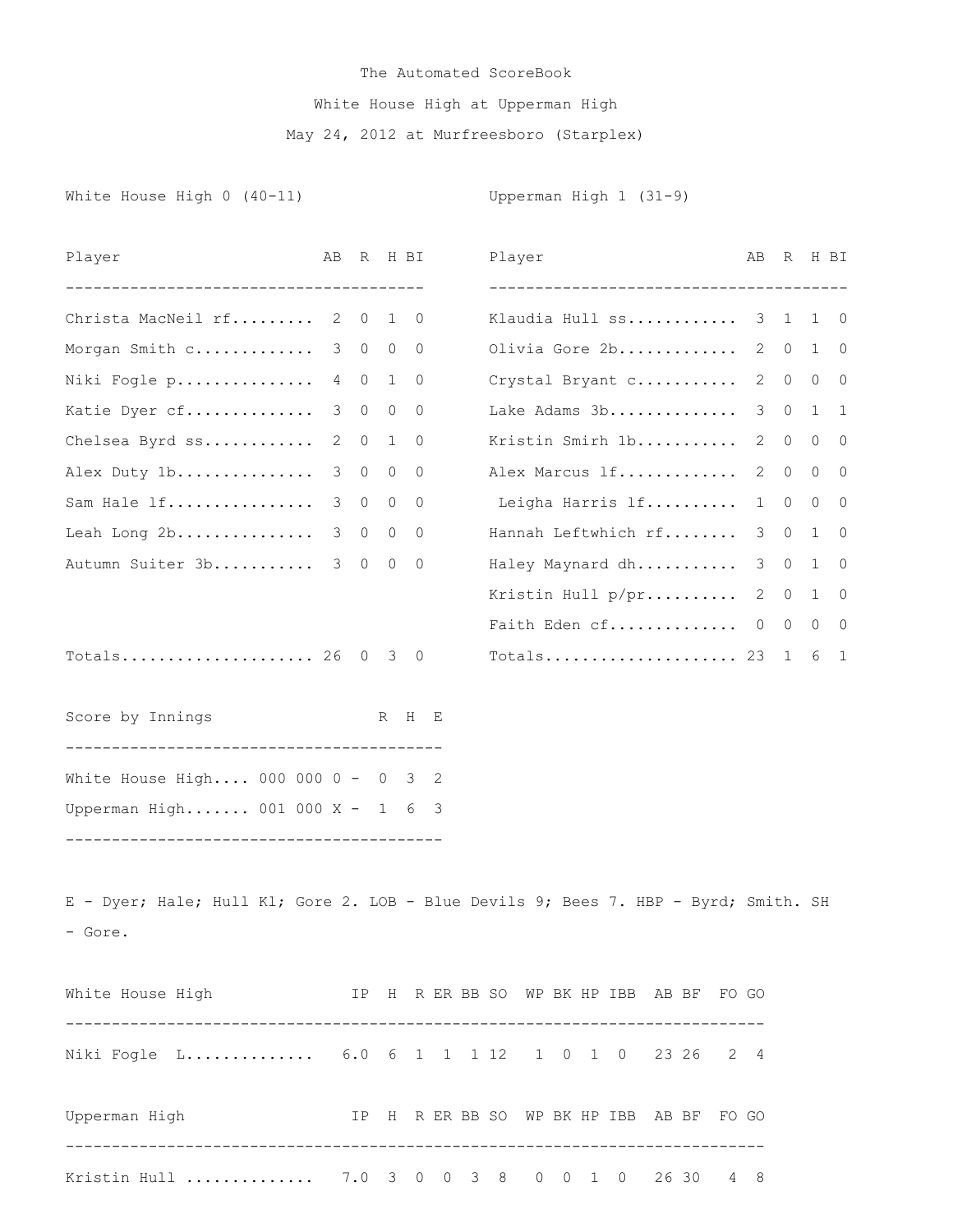## The Automated ScoreBook White House High at Upperman High May 24, 2012 at Murfreesboro (Starplex)

Player AB R H BI Player AB R H BI

White House High 0 (40-11) Upperman High 1 (31-9)

| Christa MacNeil rf 2 0                                                              |             | 1                  | 0                   |  |  |  |  | Klaudia Hull ss 3 1                      |   |             | 1 0            |              |
|-------------------------------------------------------------------------------------|-------------|--------------------|---------------------|--|--|--|--|------------------------------------------|---|-------------|----------------|--------------|
| Morgan Smith c 3 0 0 0                                                              |             |                    |                     |  |  |  |  | Olivia Gore 2b                           |   | $2 \quad 0$ | 1 0            |              |
| Niki Fogle p                                                                        | 4 0         | 1                  | 0                   |  |  |  |  | Crystal Bryant c                         |   | $2 \quad 0$ | $0\quad 0$     |              |
| Katie Dyer cf                                                                       | 3           | $\overline{0}$     | $\overline{0}$<br>0 |  |  |  |  | Lake Adams 3b                            | 3 | $\circ$     | 1              | $\mathbf{1}$ |
| Chelsea Byrd ss                                                                     | $2 \quad 0$ |                    | 1<br>0              |  |  |  |  | Kristin Smirh 1b                         |   | $2 \quad 0$ | $0\quad 0$     |              |
| Alex Duty 1b                                                                        | 3           | $\circ$<br>$\circ$ | 0                   |  |  |  |  | Alex Marcus lf                           |   | 2 0         | $\circ$        | 0            |
| Sam Hale If                                                                         | 3 0         | $\circ$            | 0                   |  |  |  |  | Leigha Harris lf                         | 1 | $\circ$     | $\overline{0}$ | $\circ$      |
| Leah Long 2b                                                                        | 3 0         |                    | $0\quad 0$          |  |  |  |  | Hannah Leftwhich rf 3 0                  |   |             | 1 0            |              |
| Autumn Suiter 3b 3 0 0                                                              |             |                    | $\overline{0}$      |  |  |  |  | Haley Maynard dh                         |   | $3 \quad 0$ | 1 0            |              |
|                                                                                     |             |                    |                     |  |  |  |  | Kristin Hull p/pr 2 0 1 0                |   |             |                |              |
|                                                                                     |             |                    |                     |  |  |  |  | Faith Eden cf $0 \t 0 \t 0 \t 0$         |   |             |                |              |
| Totals 26 0 3 0                                                                     |             |                    |                     |  |  |  |  | Totals 23 1 6                            |   |             |                | $\mathbf{1}$ |
|                                                                                     |             |                    |                     |  |  |  |  |                                          |   |             |                |              |
| Score by Innings                                                                    |             |                    | R H E               |  |  |  |  |                                          |   |             |                |              |
|                                                                                     |             |                    |                     |  |  |  |  |                                          |   |             |                |              |
| White House High 000 000 0 - 0 3 2                                                  |             |                    |                     |  |  |  |  |                                          |   |             |                |              |
| Upperman High 001 000 X - 1 6 3                                                     |             |                    |                     |  |  |  |  |                                          |   |             |                |              |
|                                                                                     |             |                    |                     |  |  |  |  |                                          |   |             |                |              |
|                                                                                     |             |                    |                     |  |  |  |  |                                          |   |             |                |              |
| E - Dyer; Hale; Hull Kl; Gore 2. LOB - Blue Devils 9; Bees 7. HBP - Byrd; Smith. SH |             |                    |                     |  |  |  |  |                                          |   |             |                |              |
| - Gore.                                                                             |             |                    |                     |  |  |  |  |                                          |   |             |                |              |
|                                                                                     |             |                    |                     |  |  |  |  |                                          |   |             |                |              |
| White House High TP H R ER BB SO WP BK HP IBB AB BF FO GO                           |             |                    |                     |  |  |  |  |                                          |   |             |                |              |
|                                                                                     |             |                    |                     |  |  |  |  |                                          |   |             |                |              |
| Niki Fogle L 6.0 6 1 1 1 1 1 2 1 0 1 0 23 26 2 4                                    |             |                    |                     |  |  |  |  |                                          |   |             |                |              |
|                                                                                     |             |                    |                     |  |  |  |  |                                          |   |             |                |              |
| Upperman High                                                                       |             |                    |                     |  |  |  |  | IP H R ER BB SO WP BK HP IBB AB BF FO GO |   |             |                |              |
|                                                                                     |             |                    |                     |  |  |  |  |                                          |   |             |                |              |
| Kristin Hull  7.0 3 0 0 3 8 0 0 1 0 26 30 4 8                                       |             |                    |                     |  |  |  |  |                                          |   |             |                |              |
|                                                                                     |             |                    |                     |  |  |  |  |                                          |   |             |                |              |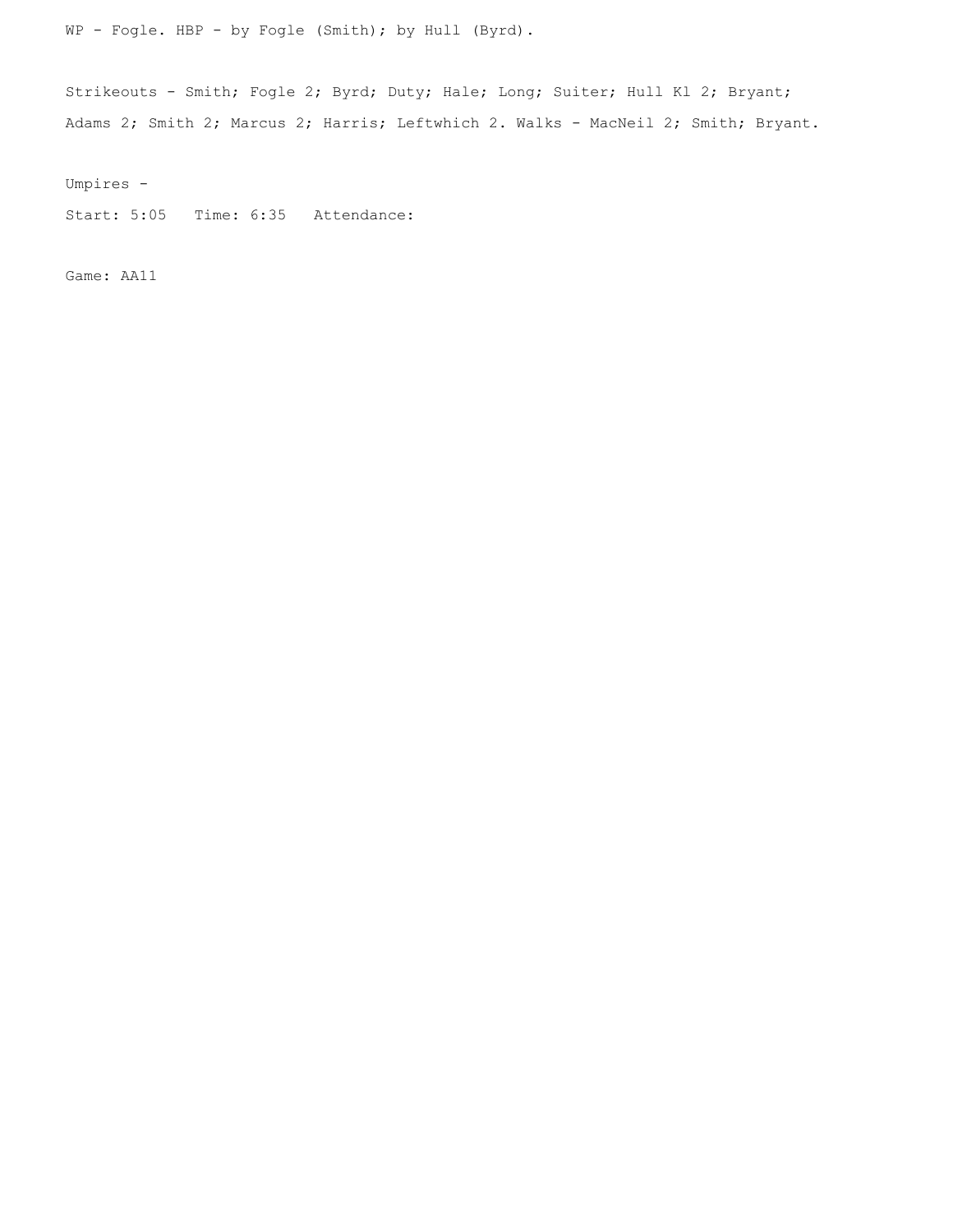WP - Fogle. HBP - by Fogle (Smith); by Hull (Byrd).

Strikeouts - Smith; Fogle 2; Byrd; Duty; Hale; Long; Suiter; Hull Kl 2; Bryant; Adams 2; Smith 2; Marcus 2; Harris; Leftwhich 2. Walks - MacNeil 2; Smith; Bryant.

Umpires -

Start: 5:05 Time: 6:35 Attendance:

Game: AA11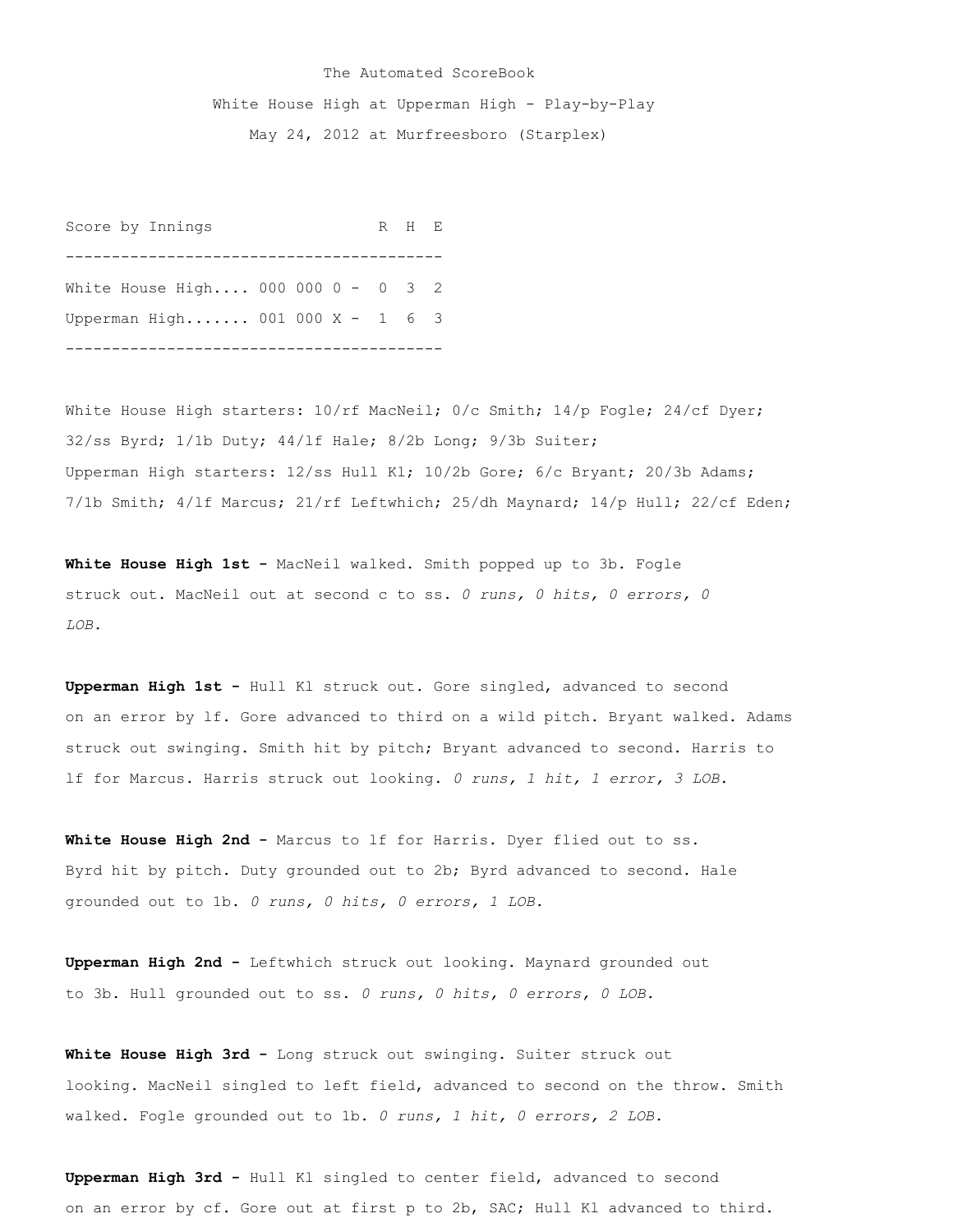## The Automated ScoreBook White House High at Upperman High - Play-by-Play May 24, 2012 at Murfreesboro (Starplex)

Score by Innings R H E ----------------------------------------- White House High.... 000 000 0 - 0 3 2 Upperman High....... 001 000 X - 1 6 3 -----------------------------------------

White House High starters:  $10/rf$  MacNeil; 0/c Smith;  $14/p$  Fogle; 24/cf Dyer; 32/ss Byrd; 1/1b Duty; 44/lf Hale; 8/2b Long; 9/3b Suiter; Upperman High starters: 12/ss Hull Kl; 10/2b Gore; 6/c Bryant; 20/3b Adams; 7/1b Smith; 4/lf Marcus; 21/rf Leftwhich; 25/dh Maynard; 14/p Hull; 22/cf Eden;

**White House High 1st -** MacNeil walked. Smith popped up to 3b. Fogle struck out. MacNeil out at second c to ss. *0 runs, 0 hits, 0 errors, 0 LOB.*

**Upperman High 1st -** Hull Kl struck out. Gore singled, advanced to second on an error by lf. Gore advanced to third on a wild pitch. Bryant walked. Adams struck out swinging. Smith hit by pitch; Bryant advanced to second. Harris to lf for Marcus. Harris struck out looking. *0 runs, 1 hit, 1 error, 3 LOB.*

**White House High 2nd -** Marcus to lf for Harris. Dyer flied out to ss. Byrd hit by pitch. Duty grounded out to 2b; Byrd advanced to second. Hale grounded out to 1b. *0 runs, 0 hits, 0 errors, 1 LOB.*

**Upperman High 2nd -** Leftwhich struck out looking. Maynard grounded out to 3b. Hull grounded out to ss. *0 runs, 0 hits, 0 errors, 0 LOB.*

**White House High 3rd -** Long struck out swinging. Suiter struck out looking. MacNeil singled to left field, advanced to second on the throw. Smith walked. Fogle grounded out to 1b. *0 runs, 1 hit, 0 errors, 2 LOB.*

**Upperman High 3rd -** Hull Kl singled to center field, advanced to second on an error by cf. Gore out at first p to 2b, SAC; Hull Kl advanced to third.